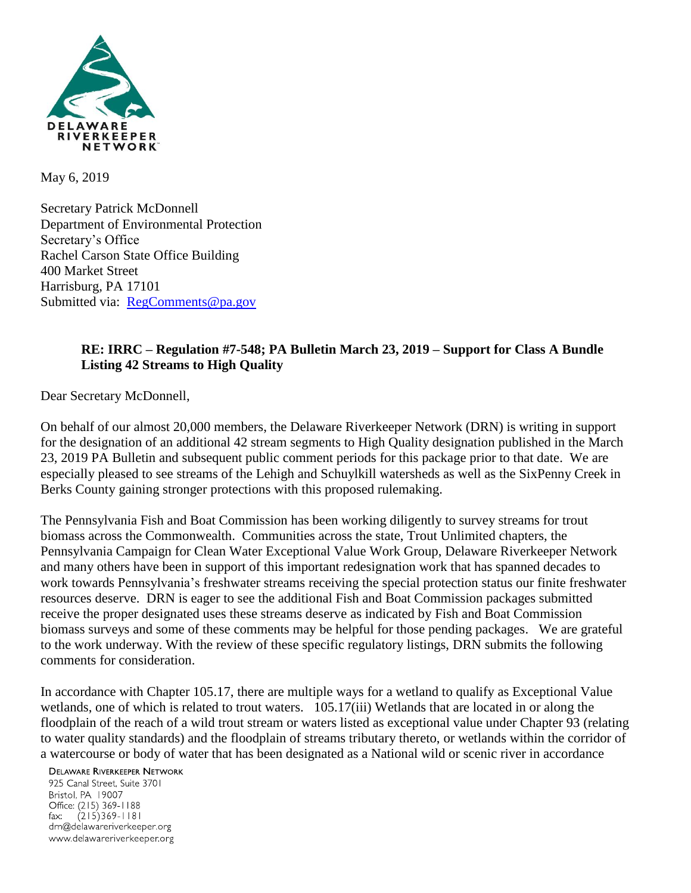

May 6, 2019

Secretary Patrick McDonnell Department of Environmental Protection Secretary's Office Rachel Carson State Office Building 400 Market Street Harrisburg, PA 17101 Submitted via: [RegComments@pa.gov](mailto:RegComments@pa.gov)

## **RE: IRRC – Regulation #7-548; PA Bulletin March 23, 2019 – Support for Class A Bundle Listing 42 Streams to High Quality**

Dear Secretary McDonnell,

On behalf of our almost 20,000 members, the Delaware Riverkeeper Network (DRN) is writing in support for the designation of an additional 42 stream segments to High Quality designation published in the March 23, 2019 PA Bulletin and subsequent public comment periods for this package prior to that date. We are especially pleased to see streams of the Lehigh and Schuylkill watersheds as well as the SixPenny Creek in Berks County gaining stronger protections with this proposed rulemaking.

The Pennsylvania Fish and Boat Commission has been working diligently to survey streams for trout biomass across the Commonwealth. Communities across the state, Trout Unlimited chapters, the Pennsylvania Campaign for Clean Water Exceptional Value Work Group, Delaware Riverkeeper Network and many others have been in support of this important redesignation work that has spanned decades to work towards Pennsylvania's freshwater streams receiving the special protection status our finite freshwater resources deserve. DRN is eager to see the additional Fish and Boat Commission packages submitted receive the proper designated uses these streams deserve as indicated by Fish and Boat Commission biomass surveys and some of these comments may be helpful for those pending packages. We are grateful to the work underway. With the review of these specific regulatory listings, DRN submits the following comments for consideration.

In accordance with Chapter 105.17, there are multiple ways for a wetland to qualify as Exceptional Value wetlands, one of which is related to trout waters. 105.17(iii) Wetlands that are located in or along the floodplain of the reach of a wild trout stream or waters listed as exceptional value under Chapter 93 (relating to water quality standards) and the floodplain of streams tributary thereto, or wetlands within the corridor of a watercourse or body of water that has been designated as a National wild or scenic river in accordance

**DELAWARE RIVERKEEPER NETWORK** 

925 Canal Street, Suite 3701 Bristol, PA 19007 Office: (215) 369-1188 fax:  $(215)369 - 1181$ drn@delawareriverkeeper.org www.delawareriverkeeper.org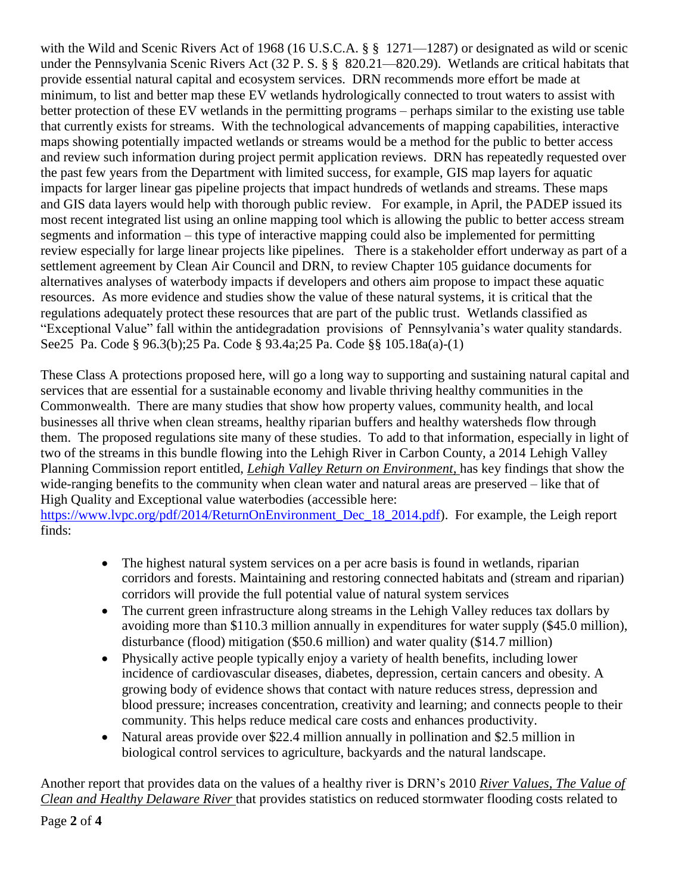with the Wild and Scenic Rivers Act of 1968 (16 U.S.C.A. § § 1271—1287) or designated as wild or scenic under the Pennsylvania Scenic Rivers Act (32 P. S. § § 820.21—820.29). Wetlands are critical habitats that provide essential natural capital and ecosystem services. DRN recommends more effort be made at minimum, to list and better map these EV wetlands hydrologically connected to trout waters to assist with better protection of these EV wetlands in the permitting programs – perhaps similar to the existing use table that currently exists for streams. With the technological advancements of mapping capabilities, interactive maps showing potentially impacted wetlands or streams would be a method for the public to better access and review such information during project permit application reviews. DRN has repeatedly requested over the past few years from the Department with limited success, for example, GIS map layers for aquatic impacts for larger linear gas pipeline projects that impact hundreds of wetlands and streams. These maps and GIS data layers would help with thorough public review. For example, in April, the PADEP issued its most recent integrated list using an online mapping tool which is allowing the public to better access stream segments and information – this type of interactive mapping could also be implemented for permitting review especially for large linear projects like pipelines. There is a stakeholder effort underway as part of a settlement agreement by Clean Air Council and DRN, to review Chapter 105 guidance documents for alternatives analyses of waterbody impacts if developers and others aim propose to impact these aquatic resources. As more evidence and studies show the value of these natural systems, it is critical that the regulations adequately protect these resources that are part of the public trust. Wetlands classified as "Exceptional Value" fall within the antidegradation provisions of Pennsylvania's water quality standards. See25 Pa. Code § 96.3(b);25 Pa. Code § 93.4a;25 Pa. Code §§ 105.18a(a)-(1)

These Class A protections proposed here, will go a long way to supporting and sustaining natural capital and services that are essential for a sustainable economy and livable thriving healthy communities in the Commonwealth. There are many studies that show how property values, community health, and local businesses all thrive when clean streams, healthy riparian buffers and healthy watersheds flow through them. The proposed regulations site many of these studies. To add to that information, especially in light of two of the streams in this bundle flowing into the Lehigh River in Carbon County, a 2014 Lehigh Valley Planning Commission report entitled, *Lehigh Valley Return on Environment,* has key findings that show the wide-ranging benefits to the community when clean water and natural areas are preserved – like that of High Quality and Exceptional value waterbodies (accessible here: [https://www.lvpc.org/pdf/2014/ReturnOnEnvironment\\_Dec\\_18\\_2014.pdf\)](https://www.lvpc.org/pdf/2014/ReturnOnEnvironment_Dec_18_2014.pdf). For example, the Leigh report finds:

- The highest natural system services on a per acre basis is found in wetlands, riparian corridors and forests. Maintaining and restoring connected habitats and (stream and riparian) corridors will provide the full potential value of natural system services
- The current green infrastructure along streams in the Lehigh Valley reduces tax dollars by avoiding more than \$110.3 million annually in expenditures for water supply (\$45.0 million), disturbance (flood) mitigation (\$50.6 million) and water quality (\$14.7 million)
- Physically active people typically enjoy a variety of health benefits, including lower incidence of cardiovascular diseases, diabetes, depression, certain cancers and obesity. A growing body of evidence shows that contact with nature reduces stress, depression and blood pressure; increases concentration, creativity and learning; and connects people to their community. This helps reduce medical care costs and enhances productivity.
- Natural areas provide over \$22.4 million annually in pollination and \$2.5 million in biological control services to agriculture, backyards and the natural landscape.

Another report that provides data on the values of a healthy river is DRN's 2010 *River Values, The Value of Clean and Healthy Delaware River* that provides statistics on reduced stormwater flooding costs related to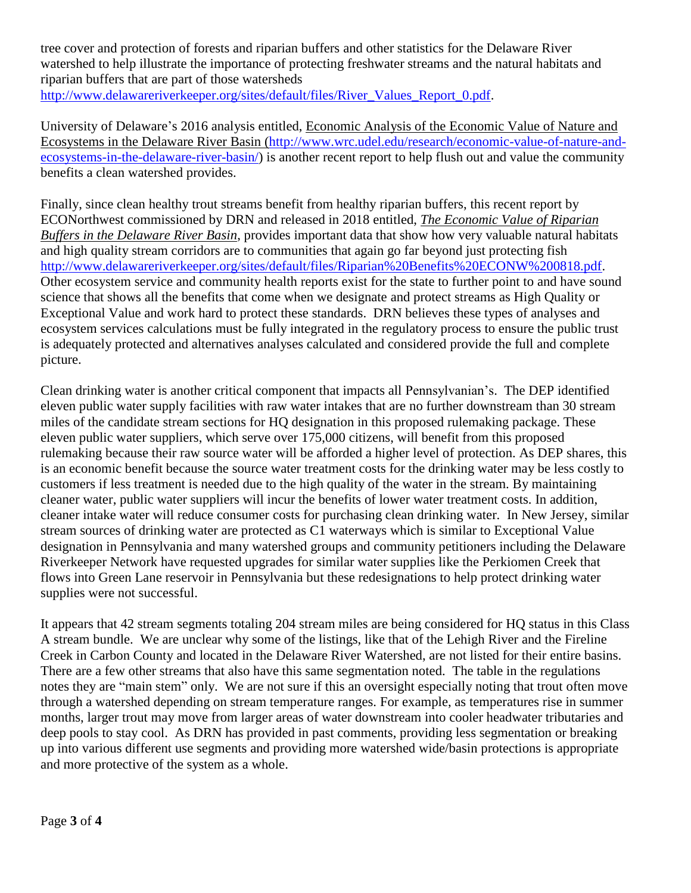tree cover and protection of forests and riparian buffers and other statistics for the Delaware River watershed to help illustrate the importance of protecting freshwater streams and the natural habitats and riparian buffers that are part of those watersheds [http://www.delawareriverkeeper.org/sites/default/files/River\\_Values\\_Report\\_0.pdf.](http://www.delawareriverkeeper.org/sites/default/files/River_Values_Report_0.pdf)

University of Delaware's 2016 analysis entitled, Economic Analysis of the Economic Value of Nature and Ecosystems in the Delaware River Basin [\(http://www.wrc.udel.edu/research/economic-value-of-nature-and](http://www.wrc.udel.edu/research/economic-value-of-nature-and-ecosystems-in-the-delaware-river-basin/)[ecosystems-in-the-delaware-river-basin/\)](http://www.wrc.udel.edu/research/economic-value-of-nature-and-ecosystems-in-the-delaware-river-basin/) is another recent report to help flush out and value the community benefits a clean watershed provides.

Finally, since clean healthy trout streams benefit from healthy riparian buffers, this recent report by ECONorthwest commissioned by DRN and released in 2018 entitled, *The Economic Value of Riparian Buffers in the Delaware River Basin*, provides important data that show how very valuable natural habitats and high quality stream corridors are to communities that again go far beyond just protecting fish [http://www.delawareriverkeeper.org/sites/default/files/Riparian%20Benefits%20ECONW%200818.pdf.](http://www.delawareriverkeeper.org/sites/default/files/Riparian%20Benefits%20ECONW%200818.pdf) Other ecosystem service and community health reports exist for the state to further point to and have sound science that shows all the benefits that come when we designate and protect streams as High Quality or Exceptional Value and work hard to protect these standards. DRN believes these types of analyses and ecosystem services calculations must be fully integrated in the regulatory process to ensure the public trust is adequately protected and alternatives analyses calculated and considered provide the full and complete picture.

Clean drinking water is another critical component that impacts all Pennsylvanian's. The DEP identified eleven public water supply facilities with raw water intakes that are no further downstream than 30 stream miles of the candidate stream sections for HQ designation in this proposed rulemaking package. These eleven public water suppliers, which serve over 175,000 citizens, will benefit from this proposed rulemaking because their raw source water will be afforded a higher level of protection. As DEP shares, this is an economic benefit because the source water treatment costs for the drinking water may be less costly to customers if less treatment is needed due to the high quality of the water in the stream. By maintaining cleaner water, public water suppliers will incur the benefits of lower water treatment costs. In addition, cleaner intake water will reduce consumer costs for purchasing clean drinking water. In New Jersey, similar stream sources of drinking water are protected as C1 waterways which is similar to Exceptional Value designation in Pennsylvania and many watershed groups and community petitioners including the Delaware Riverkeeper Network have requested upgrades for similar water supplies like the Perkiomen Creek that flows into Green Lane reservoir in Pennsylvania but these redesignations to help protect drinking water supplies were not successful.

It appears that 42 stream segments totaling 204 stream miles are being considered for HQ status in this Class A stream bundle. We are unclear why some of the listings, like that of the Lehigh River and the Fireline Creek in Carbon County and located in the Delaware River Watershed, are not listed for their entire basins. There are a few other streams that also have this same segmentation noted. The table in the regulations notes they are "main stem" only. We are not sure if this an oversight especially noting that trout often move through a watershed depending on stream temperature ranges. For example, as temperatures rise in summer months, larger trout may move from larger areas of water downstream into cooler headwater tributaries and deep pools to stay cool. As DRN has provided in past comments, providing less segmentation or breaking up into various different use segments and providing more watershed wide/basin protections is appropriate and more protective of the system as a whole.